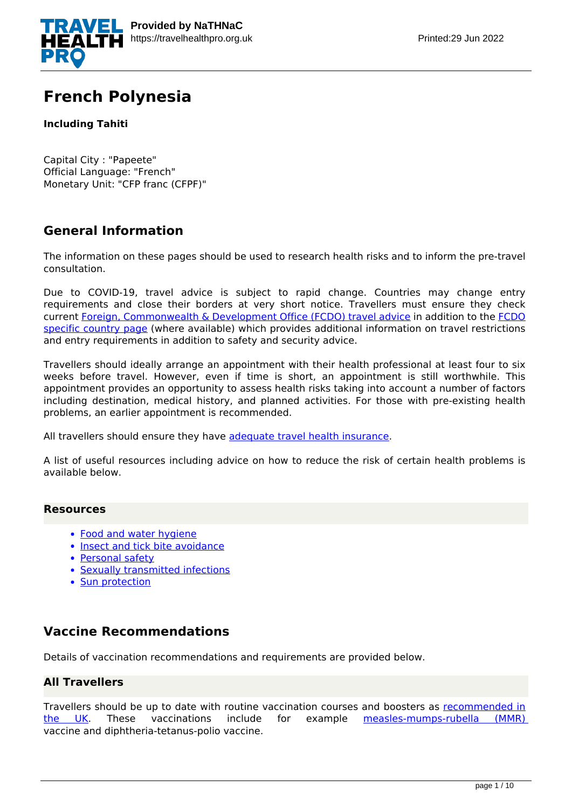

# **French Polynesia**

## **Including Tahiti**

Capital City : "Papeete" Official Language: "French" Monetary Unit: "CFP franc (CFPF)"

# **General Information**

The information on these pages should be used to research health risks and to inform the pre-travel consultation.

Due to COVID-19, travel advice is subject to rapid change. Countries may change entry requirements and close their borders at very short notice. Travellers must ensure they check current [Foreign, Commonwealth & Development Office \(FCDO\) travel advice](https://www.gov.uk/guidance/travel-advice-novel-coronavirus) in addition to the [FCDO](https://www.gov.uk/foreign-travel-advice) [specific country page](https://www.gov.uk/foreign-travel-advice) (where available) which provides additional information on travel restrictions and entry requirements in addition to safety and security advice.

Travellers should ideally arrange an appointment with their health professional at least four to six weeks before travel. However, even if time is short, an appointment is still worthwhile. This appointment provides an opportunity to assess health risks taking into account a number of factors including destination, medical history, and planned activities. For those with pre-existing health problems, an earlier appointment is recommended.

All travellers should ensure they have [adequate travel health insurance](https://www.gov.uk/foreign-travel-insurance).

A list of useful resources including advice on how to reduce the risk of certain health problems is available below.

## **Resources**

- [Food and water hygiene](https://travelhealthpro.org.uk/factsheet/44/food-and-water-hygiene)
- [Insect and tick bite avoidance](https://travelhealthpro.org.uk/factsheet/38/insect-and-tick-bite-avoidance)
- [Personal safety](https://travelhealthpro.org.uk/factsheet/25/personal-safety)
- [Sexually transmitted infections](https://travelhealthpro.org.uk/factsheet/15/sexually-transmitted-infections)
- [Sun protection](https://travelhealthpro.org.uk/factsheet/23/sun-protection)

## **Vaccine Recommendations**

Details of vaccination recommendations and requirements are provided below.

## **All Travellers**

Travellers should be up to date with routine vaccination courses and boosters as [recommended in](https://www.gov.uk/government/publications/the-complete-routine-immunisation-schedule) [the UK.](https://www.gov.uk/government/publications/the-complete-routine-immunisation-schedule) These vaccinations include for example [measles-mumps-rubella \(MMR\)](http://travelhealthpro.org.uk/disease/116/measles) vaccine and diphtheria-tetanus-polio vaccine.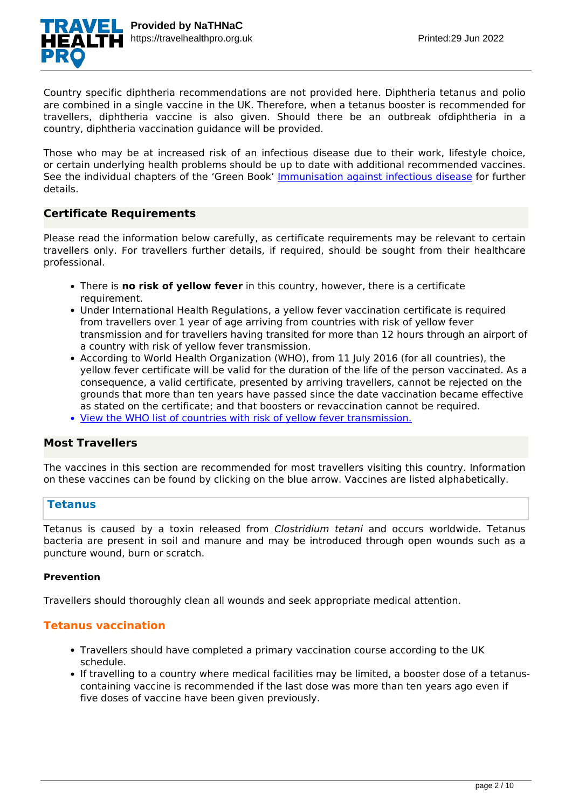

Country specific diphtheria recommendations are not provided here. Diphtheria tetanus and polio are combined in a single vaccine in the UK. Therefore, when a tetanus booster is recommended for travellers, diphtheria vaccine is also given. Should there be an outbreak ofdiphtheria in a country, diphtheria vaccination guidance will be provided.

Those who may be at increased risk of an infectious disease due to their work, lifestyle choice, or certain underlying health problems should be up to date with additional recommended vaccines. See the individual chapters of the 'Green Book' [Immunisation against infectious disease](https://www.gov.uk/government/collections/immunisation-against-infectious-disease-the-green-book) for further details.

## **Certificate Requirements**

Please read the information below carefully, as certificate requirements may be relevant to certain travellers only. For travellers further details, if required, should be sought from their healthcare professional.

- There is **no risk of yellow fever** in this country, however, there is a certificate requirement.
- Under International Health Regulations, a yellow fever vaccination certificate is required from travellers over 1 year of age arriving from countries with risk of yellow fever transmission and for travellers having transited for more than 12 hours through an airport of a country with risk of yellow fever transmission.
- According to World Health Organization (WHO), from 11 July 2016 (for all countries), the yellow fever certificate will be valid for the duration of the life of the person vaccinated. As a consequence, a valid certificate, presented by arriving travellers, cannot be rejected on the grounds that more than ten years have passed since the date vaccination became effective as stated on the certificate; and that boosters or revaccination cannot be required.
- [View the WHO list of countries with risk of yellow fever transmission.](https://nathnacyfzone.org.uk/factsheet/65/countries-with-risk-of-yellow-fever-transmission)

## **Most Travellers**

The vaccines in this section are recommended for most travellers visiting this country. Information on these vaccines can be found by clicking on the blue arrow. Vaccines are listed alphabetically.

## **Tetanus**

Tetanus is caused by a toxin released from *Clostridium tetani* and occurs worldwide. Tetanus bacteria are present in soil and manure and may be introduced through open wounds such as a puncture wound, burn or scratch.

#### **Prevention**

Travellers should thoroughly clean all wounds and seek appropriate medical attention.

## **Tetanus vaccination**

- Travellers should have completed a primary vaccination course according to the UK schedule.
- If travelling to a country where medical facilities may be limited, a booster dose of a tetanuscontaining vaccine is recommended if the last dose was more than ten years ago even if five doses of vaccine have been given previously.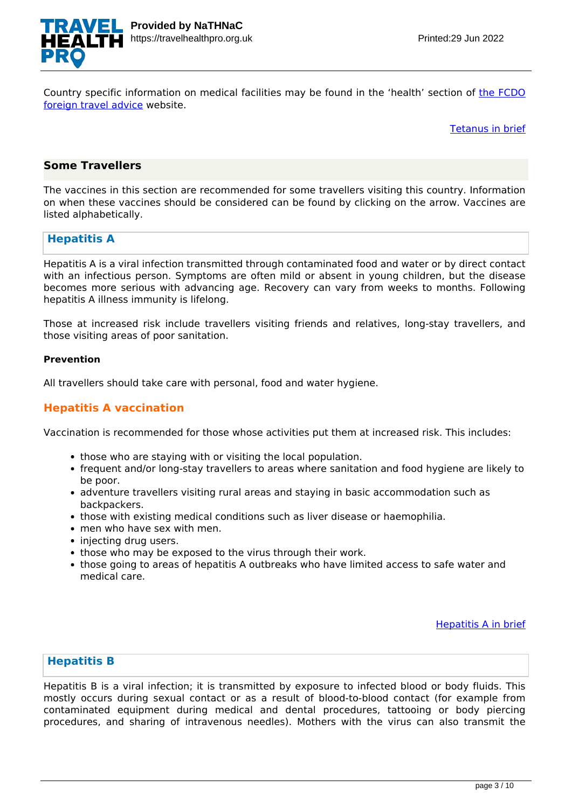

Country specific information on medical facilities may be found in the 'health' section of [the FCDO](https://www.gov.uk/foreign-travel-advice/french-polynesia) [foreign travel advice](https://www.gov.uk/foreign-travel-advice/french-polynesia) website.

[Tetanus in brief](https://travelhealthpro.org.uk/disease/168/tetanus)

## **Some Travellers**

The vaccines in this section are recommended for some travellers visiting this country. Information on when these vaccines should be considered can be found by clicking on the arrow. Vaccines are listed alphabetically.

## **Hepatitis A**

Hepatitis A is a viral infection transmitted through contaminated food and water or by direct contact with an infectious person. Symptoms are often mild or absent in young children, but the disease becomes more serious with advancing age. Recovery can vary from weeks to months. Following hepatitis A illness immunity is lifelong.

Those at increased risk include travellers visiting friends and relatives, long-stay travellers, and those visiting areas of poor sanitation.

#### **Prevention**

All travellers should take care with personal, food and water hygiene.

## **Hepatitis A vaccination**

Vaccination is recommended for those whose activities put them at increased risk. This includes:

- those who are staying with or visiting the local population.
- frequent and/or long-stay travellers to areas where sanitation and food hygiene are likely to be poor.
- adventure travellers visiting rural areas and staying in basic accommodation such as backpackers.
- those with existing medical conditions such as liver disease or haemophilia.
- men who have sex with men.
- injecting drug users.
- those who may be exposed to the virus through their work.
- those going to areas of hepatitis A outbreaks who have limited access to safe water and medical care.

[Hepatitis A in brief](https://travelhealthpro.org.uk/disease/70/hepatitis-a)

## **Hepatitis B**

Hepatitis B is a viral infection; it is transmitted by exposure to infected blood or body fluids. This mostly occurs during sexual contact or as a result of blood-to-blood contact (for example from contaminated equipment during medical and dental procedures, tattooing or body piercing procedures, and sharing of intravenous needles). Mothers with the virus can also transmit the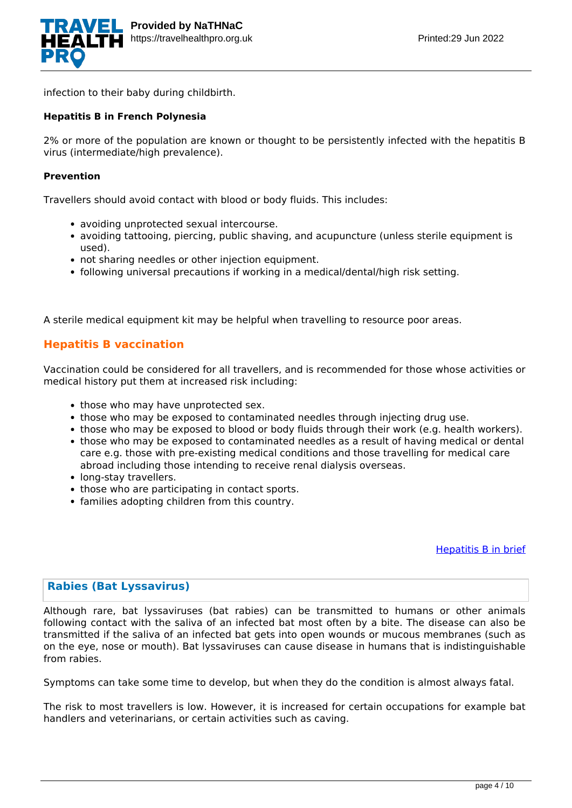

infection to their baby during childbirth.

#### **Hepatitis B in French Polynesia**

2% or more of the population are known or thought to be persistently infected with the hepatitis B virus (intermediate/high prevalence).

#### **Prevention**

Travellers should avoid contact with blood or body fluids. This includes:

- avoiding unprotected sexual intercourse.
- avoiding tattooing, piercing, public shaving, and acupuncture (unless sterile equipment is used).
- not sharing needles or other injection equipment.
- following universal precautions if working in a medical/dental/high risk setting.

A sterile medical equipment kit may be helpful when travelling to resource poor areas.

## **Hepatitis B vaccination**

Vaccination could be considered for all travellers, and is recommended for those whose activities or medical history put them at increased risk including:

- those who may have unprotected sex.
- those who may be exposed to contaminated needles through injecting drug use.
- those who may be exposed to blood or body fluids through their work (e.g. health workers).
- those who may be exposed to contaminated needles as a result of having medical or dental care e.g. those with pre-existing medical conditions and those travelling for medical care abroad including those intending to receive renal dialysis overseas.
- long-stay travellers.
- those who are participating in contact sports.
- families adopting children from this country.

[Hepatitis B in brief](https://travelhealthpro.org.uk/disease/71/hepatitis-b)

## **Rabies (Bat Lyssavirus)**

Although rare, bat lyssaviruses (bat rabies) can be transmitted to humans or other animals following contact with the saliva of an infected bat most often by a bite. The disease can also be transmitted if the saliva of an infected bat gets into open wounds or mucous membranes (such as on the eye, nose or mouth). Bat lyssaviruses can cause disease in humans that is indistinguishable from rabies.

Symptoms can take some time to develop, but when they do the condition is almost always fatal.

The risk to most travellers is low. However, it is increased for certain occupations for example bat handlers and veterinarians, or certain activities such as caving.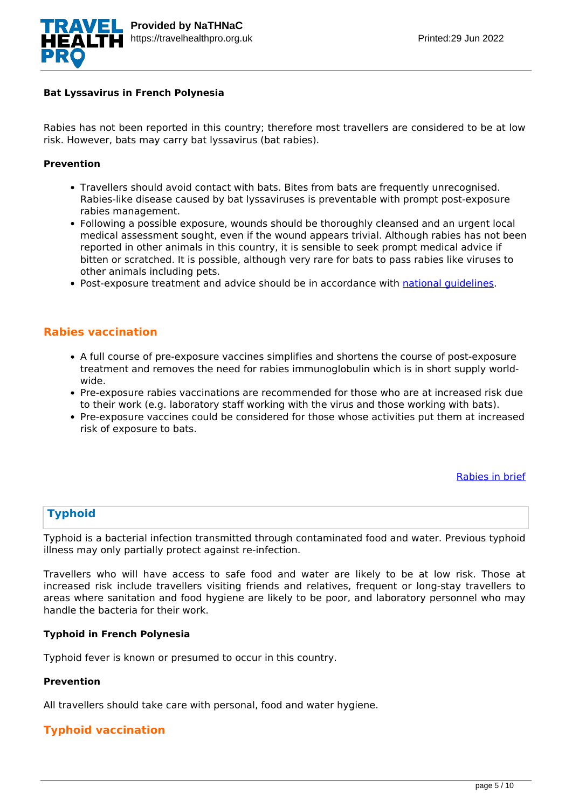

#### **Bat Lyssavirus in French Polynesia**

Rabies has not been reported in this country; therefore most travellers are considered to be at low risk. However, bats may carry bat lyssavirus (bat rabies).

#### **Prevention**

- Travellers should avoid contact with bats. Bites from bats are frequently unrecognised. Rabies-like disease caused by bat lyssaviruses is preventable with prompt post-exposure rabies management.
- Following a possible exposure, wounds should be thoroughly cleansed and an urgent local medical assessment sought, even if the wound appears trivial. Although rabies has not been reported in other animals in this country, it is sensible to seek prompt medical advice if bitten or scratched. It is possible, although very rare for bats to pass rabies like viruses to other animals including pets.
- Post-exposure treatment and advice should be in accordance with national quidelines.

## **Rabies vaccination**

- A full course of pre-exposure vaccines simplifies and shortens the course of post-exposure treatment and removes the need for rabies immunoglobulin which is in short supply worldwide.
- Pre-exposure rabies vaccinations are recommended for those who are at increased risk due to their work (e.g. laboratory staff working with the virus and those working with bats).
- Pre-exposure vaccines could be considered for those whose activities put them at increased risk of exposure to bats.

[Rabies in brief](https://travelhealthpro.org.uk/disease/148/rabies)

## **Typhoid**

Typhoid is a bacterial infection transmitted through contaminated food and water. Previous typhoid illness may only partially protect against re-infection.

Travellers who will have access to safe food and water are likely to be at low risk. Those at increased risk include travellers visiting friends and relatives, frequent or long-stay travellers to areas where sanitation and food hygiene are likely to be poor, and laboratory personnel who may handle the bacteria for their work.

#### **Typhoid in French Polynesia**

Typhoid fever is known or presumed to occur in this country.

#### **Prevention**

All travellers should take care with personal, food and water hygiene.

## **Typhoid vaccination**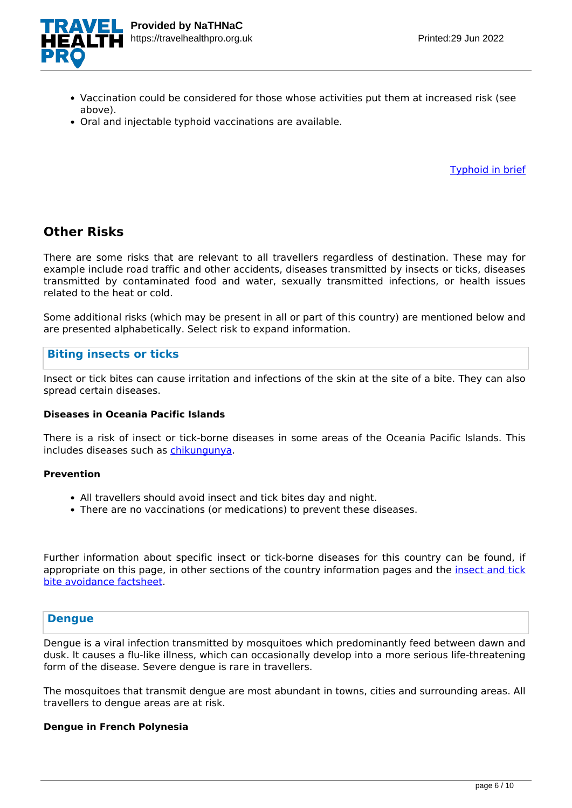

- Vaccination could be considered for those whose activities put them at increased risk (see above).
- Oral and injectable typhoid vaccinations are available.

[Typhoid in brief](https://travelhealthpro.org.uk/disease/184/typhoid-fever)

# **Other Risks**

There are some risks that are relevant to all travellers regardless of destination. These may for example include road traffic and other accidents, diseases transmitted by insects or ticks, diseases transmitted by contaminated food and water, sexually transmitted infections, or health issues related to the heat or cold.

Some additional risks (which may be present in all or part of this country) are mentioned below and are presented alphabetically. Select risk to expand information.

## **Biting insects or ticks**

Insect or tick bites can cause irritation and infections of the skin at the site of a bite. They can also spread certain diseases.

## **Diseases in Oceania Pacific Islands**

There is a risk of insect or tick-borne diseases in some areas of the Oceania Pacific Islands. This includes diseases such as [chikungunya.](https://travelhealthpro.org.uk/factsheet/27/chikungunya)

#### **Prevention**

- All travellers should avoid insect and tick bites day and night.
- There are no vaccinations (or medications) to prevent these diseases.

Further information about specific insect or tick-borne diseases for this country can be found, if appropriate on this page, in other sections of the country information pages and the [insect and tick](https://travelhealthpro.org.uk/factsheet/38/insect-and-tick-bite-avoidance) [bite avoidance factsheet](https://travelhealthpro.org.uk/factsheet/38/insect-and-tick-bite-avoidance).

## **Dengue**

Dengue is a viral infection transmitted by mosquitoes which predominantly feed between dawn and dusk. It causes a flu-like illness, which can occasionally develop into a more serious life-threatening form of the disease. Severe dengue is rare in travellers.

The mosquitoes that transmit dengue are most abundant in towns, cities and surrounding areas. All travellers to dengue areas are at risk.

## **Dengue in French Polynesia**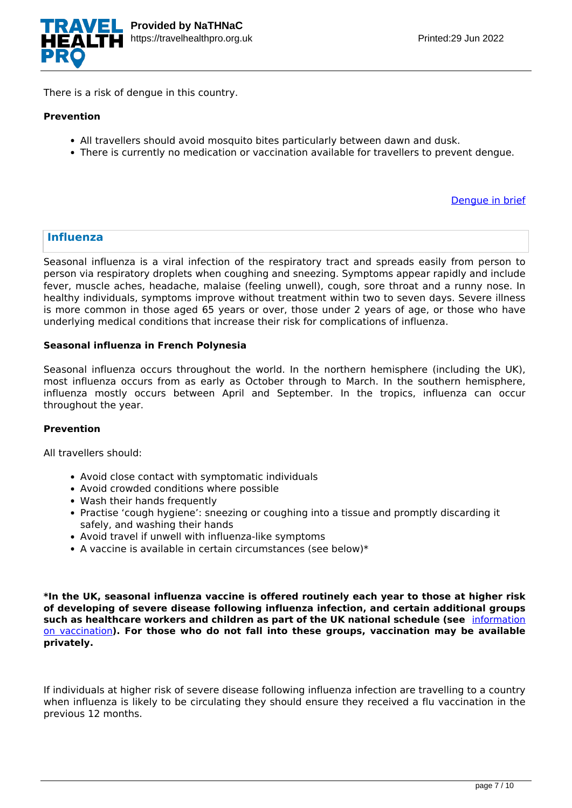

There is a risk of dengue in this country.

#### **Prevention**

- All travellers should avoid mosquito bites particularly between dawn and dusk.
- There is currently no medication or vaccination available for travellers to prevent dengue.

[Dengue in brief](https://travelhealthpro.org.uk/disease/42/dengue)

### **Influenza**

Seasonal influenza is a viral infection of the respiratory tract and spreads easily from person to person via respiratory droplets when coughing and sneezing. Symptoms appear rapidly and include fever, muscle aches, headache, malaise (feeling unwell), cough, sore throat and a runny nose. In healthy individuals, symptoms improve without treatment within two to seven days. Severe illness is more common in those aged 65 years or over, those under 2 years of age, or those who have underlying medical conditions that increase their risk for complications of influenza.

#### **Seasonal influenza in French Polynesia**

Seasonal influenza occurs throughout the world. In the northern hemisphere (including the UK), most influenza occurs from as early as October through to March. In the southern hemisphere, influenza mostly occurs between April and September. In the tropics, influenza can occur throughout the year.

#### **Prevention**

All travellers should:

- Avoid close contact with symptomatic individuals
- Avoid crowded conditions where possible
- Wash their hands frequently
- Practise 'cough hygiene': sneezing or coughing into a tissue and promptly discarding it safely, and washing their hands
- Avoid travel if unwell with influenza-like symptoms
- $\bullet$  A vaccine is available in certain circumstances (see below)\*

**\*In the UK, seasonal influenza vaccine is offered routinely each year to those at higher risk of developing of severe disease following influenza infection, and certain additional groups such as healthcare workers and children as part of the UK national schedule (see** [information](https://www.gov.uk/government/publications/influenza-the-green-book-chapter-19) [on vaccination](https://www.gov.uk/government/publications/influenza-the-green-book-chapter-19)**). For those who do not fall into these groups, vaccination may be available privately.**

If individuals at higher risk of severe disease following influenza infection are travelling to a country when influenza is likely to be circulating they should ensure they received a flu vaccination in the previous 12 months.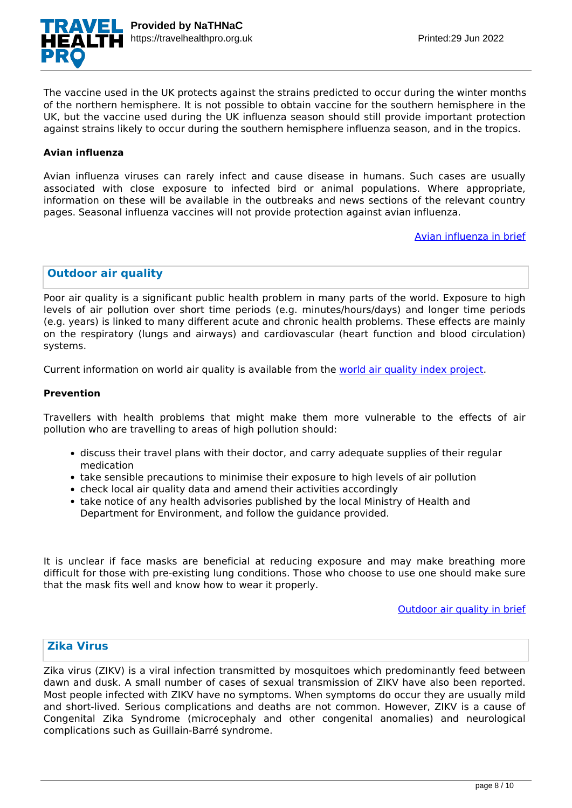

The vaccine used in the UK protects against the strains predicted to occur during the winter months of the northern hemisphere. It is not possible to obtain vaccine for the southern hemisphere in the UK, but the vaccine used during the UK influenza season should still provide important protection against strains likely to occur during the southern hemisphere influenza season, and in the tropics.

#### **Avian influenza**

Avian influenza viruses can rarely infect and cause disease in humans. Such cases are usually associated with close exposure to infected bird or animal populations. Where appropriate, information on these will be available in the outbreaks and news sections of the relevant country pages. Seasonal influenza vaccines will not provide protection against avian influenza.

[Avian influenza in brief](https://travelhealthpro.org.uk/disease/216/avian-influenza-bird-flu)

## **Outdoor air quality**

Poor air quality is a significant public health problem in many parts of the world. Exposure to high levels of air pollution over short time periods (e.g. minutes/hours/days) and longer time periods (e.g. years) is linked to many different acute and chronic health problems. These effects are mainly on the respiratory (lungs and airways) and cardiovascular (heart function and blood circulation) systems.

Current information on world air quality is available from the [world air quality index project](http://aqicn.org/map/world/).

#### **Prevention**

Travellers with health problems that might make them more vulnerable to the effects of air pollution who are travelling to areas of high pollution should:

- discuss their travel plans with their doctor, and carry adequate supplies of their regular medication
- take sensible precautions to minimise their exposure to high levels of air pollution
- check local air quality data and amend their activities accordingly
- take notice of any health advisories published by the local Ministry of Health and Department for Environment, and follow the guidance provided.

It is unclear if face masks are beneficial at reducing exposure and may make breathing more difficult for those with pre-existing lung conditions. Those who choose to use one should make sure that the mask fits well and know how to wear it properly.

[Outdoor air quality in brief](https://travelhealthpro.org.uk/disease/219/outdoor-air-quality)

## **Zika Virus**

Zika virus (ZIKV) is a viral infection transmitted by mosquitoes which predominantly feed between dawn and dusk. A small number of cases of sexual transmission of ZIKV have also been reported. Most people infected with ZIKV have no symptoms. When symptoms do occur they are usually mild and short-lived. Serious complications and deaths are not common. However, ZIKV is a cause of Congenital Zika Syndrome (microcephaly and other congenital anomalies) and neurological complications such as Guillain-Barré syndrome.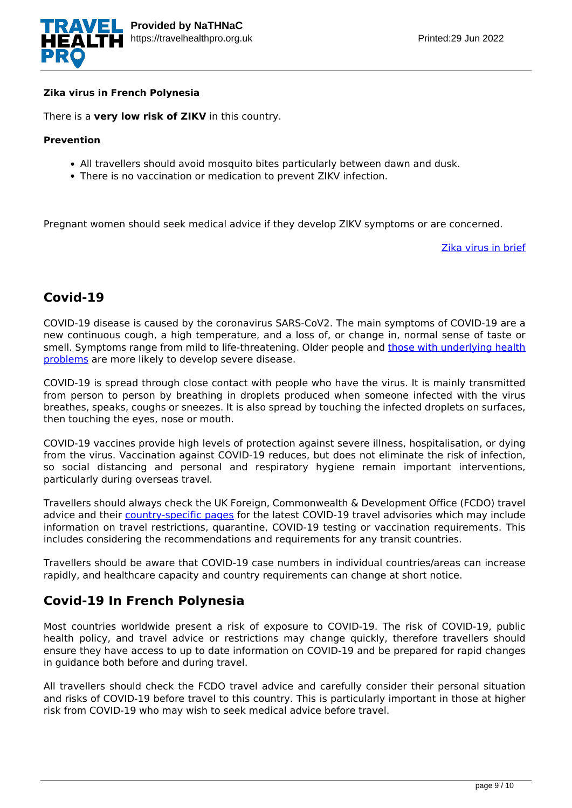

#### **Zika virus in French Polynesia**

There is a **very low risk of ZIKV** in this country.

#### **Prevention**

- All travellers should avoid mosquito bites particularly between dawn and dusk.
- There is no vaccination or medication to prevent ZIKV infection.

Pregnant women should seek medical advice if they develop ZIKV symptoms or are concerned.

[Zika virus in brief](https://travelhealthpro.org.uk/disease/196/zika-virus)

# **Covid-19**

COVID-19 disease is caused by the coronavirus SARS-CoV2. The main symptoms of COVID-19 are a new continuous cough, a high temperature, and a loss of, or change in, normal sense of taste or smell. Symptoms range from mild to life-threatening. Older people and [those with underlying health](https://www.nhs.uk/conditions/coronavirus-covid-19/people-at-higher-risk/) [problems](https://www.nhs.uk/conditions/coronavirus-covid-19/people-at-higher-risk/) are more likely to develop severe disease.

COVID-19 is spread through close contact with people who have the virus. It is mainly transmitted from person to person by breathing in droplets produced when someone infected with the virus breathes, speaks, coughs or sneezes. It is also spread by touching the infected droplets on surfaces, then touching the eyes, nose or mouth.

COVID-19 vaccines provide high levels of protection against severe illness, hospitalisation, or dying from the virus. Vaccination against COVID-19 reduces, but does not eliminate the risk of infection, so social distancing and personal and respiratory hygiene remain important interventions, particularly during overseas travel.

Travellers should always check the UK Foreign, Commonwealth & Development Office (FCDO) travel advice and their [country-specific pages](https://www.gov.uk/foreign-travel-advice) for the latest COVID-19 travel advisories which may include information on travel restrictions, quarantine, COVID-19 testing or vaccination requirements. This includes considering the recommendations and requirements for any transit countries.

Travellers should be aware that COVID-19 case numbers in individual countries/areas can increase rapidly, and healthcare capacity and country requirements can change at short notice.

# **Covid-19 In French Polynesia**

Most countries worldwide present a risk of exposure to COVID-19. The risk of COVID-19, public health policy, and travel advice or restrictions may change quickly, therefore travellers should ensure they have access to up to date information on COVID-19 and be prepared for rapid changes in guidance both before and during travel.

All travellers should check the FCDO travel advice and carefully consider their personal situation and risks of COVID-19 before travel to this country. This is particularly important in those at higher risk from COVID-19 who may wish to seek medical advice before travel.